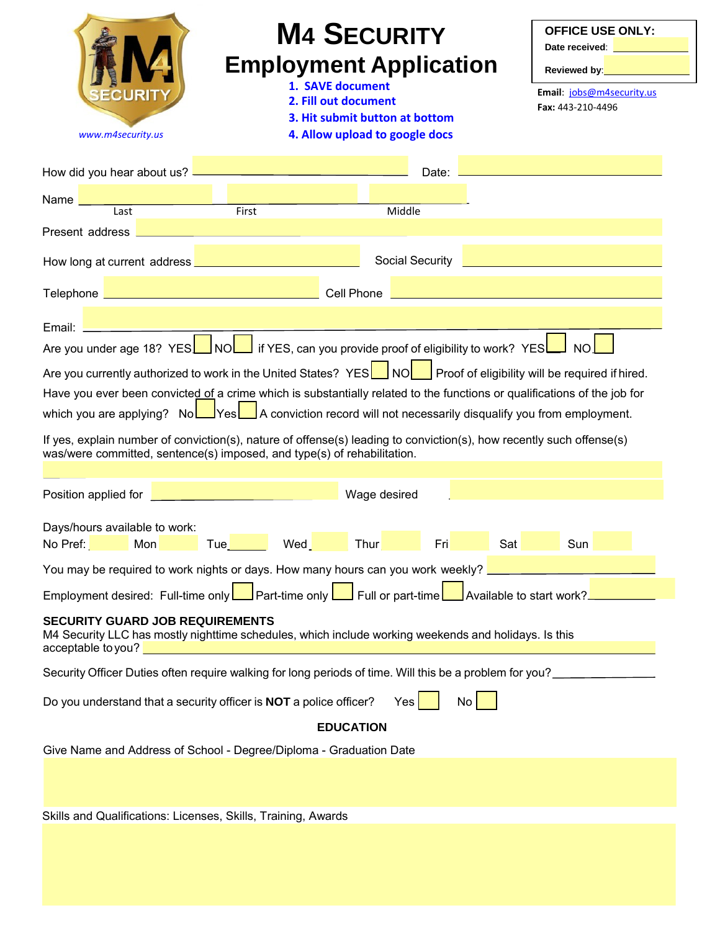| <b>M4 SECURITY</b><br><b>Employment Application</b><br>1. SAVE document<br>2. Fill out document<br>3. Hit submit button at bottom<br>4. Allow upload to google docs<br>www.m4security.us                                                                                                                                                                                                                                                                                                                                                                             |                                                                                                                                                                                                                                                                                                                                                                                                                                                             | <b>OFFICE USE ONLY:</b><br>Date received: <b>Example 2019</b><br>Reviewed by: <b>William Community Community</b><br>Email: jobs@m4security.us<br>Fax: 443-210-4496 |     |
|----------------------------------------------------------------------------------------------------------------------------------------------------------------------------------------------------------------------------------------------------------------------------------------------------------------------------------------------------------------------------------------------------------------------------------------------------------------------------------------------------------------------------------------------------------------------|-------------------------------------------------------------------------------------------------------------------------------------------------------------------------------------------------------------------------------------------------------------------------------------------------------------------------------------------------------------------------------------------------------------------------------------------------------------|--------------------------------------------------------------------------------------------------------------------------------------------------------------------|-----|
| How did you hear about us?                                                                                                                                                                                                                                                                                                                                                                                                                                                                                                                                           |                                                                                                                                                                                                                                                                                                                                                                                                                                                             |                                                                                                                                                                    |     |
| <u>and the set of the set of the set of the set of the set of the set of the set of the set of the set of the set o<br/>The set of the set of the set of the set of the set of the set of the set of the set of the set of the set o</u><br>Name $\_\_\_\_\_\_\_\_\_$                                                                                                                                                                                                                                                                                                |                                                                                                                                                                                                                                                                                                                                                                                                                                                             | Middle                                                                                                                                                             |     |
| Present address <b>Demonstration and Contract and Contract and Contract and Contract and Contract and Contract and Contract and Contract and Contract and Contract and Contract and Contract and Contract and Contract and Contr</b>                                                                                                                                                                                                                                                                                                                                 |                                                                                                                                                                                                                                                                                                                                                                                                                                                             |                                                                                                                                                                    |     |
|                                                                                                                                                                                                                                                                                                                                                                                                                                                                                                                                                                      |                                                                                                                                                                                                                                                                                                                                                                                                                                                             | Social Security <b>Constitution of the Social Security</b>                                                                                                         |     |
| Telephone <b>Entry and Construction Construction Construction Construction Construction Construction Construction</b>                                                                                                                                                                                                                                                                                                                                                                                                                                                |                                                                                                                                                                                                                                                                                                                                                                                                                                                             |                                                                                                                                                                    |     |
| Email: <u>_________________</u>                                                                                                                                                                                                                                                                                                                                                                                                                                                                                                                                      | $\mathcal{L}(\mathcal{L}(\mathcal{L}(\mathcal{L}(\mathcal{L}(\mathcal{L}(\mathcal{L}(\mathcal{L}(\mathcal{L}(\mathcal{L}(\mathcal{L}(\mathcal{L}(\mathcal{L}(\mathcal{L}(\mathcal{L}(\mathcal{L}(\mathcal{L}(\mathcal{L}(\mathcal{L}(\mathcal{L}(\mathcal{L}(\mathcal{L}(\mathcal{L}(\mathcal{L}(\mathcal{L}(\mathcal{L}(\mathcal{L}(\mathcal{L}(\mathcal{L}(\mathcal{L}(\mathcal{L}(\mathcal{L}(\mathcal{L}(\mathcal{L}(\mathcal{L}(\mathcal{L}(\mathcal{$ |                                                                                                                                                                    |     |
| Are you under age 18? YES NO if YES, can you provide proof of eligibility to work? YES NO                                                                                                                                                                                                                                                                                                                                                                                                                                                                            |                                                                                                                                                                                                                                                                                                                                                                                                                                                             |                                                                                                                                                                    |     |
| Are you currently authorized to work in the United States? YES $\Box$ NO Proof of eligibility will be required if hired.<br>Have you ever been convicted of a crime which is substantially related to the functions or qualifications of the job for<br>which you are applying? NoLIYesLIA conviction record will not necessarily disqualify you from employment.<br>If yes, explain number of conviction(s), nature of offense(s) leading to conviction(s), how recently such offense(s)<br>was/were committed, sentence(s) imposed, and type(s) of rehabilitation. |                                                                                                                                                                                                                                                                                                                                                                                                                                                             |                                                                                                                                                                    |     |
| Position applied for <b>Details</b> and the contract of the contract of the contract of                                                                                                                                                                                                                                                                                                                                                                                                                                                                              |                                                                                                                                                                                                                                                                                                                                                                                                                                                             | Wage desired                                                                                                                                                       |     |
| Days/hours available to work:<br>Mon<br>No Pref:                                                                                                                                                                                                                                                                                                                                                                                                                                                                                                                     | Tue Wed<br>Thur                                                                                                                                                                                                                                                                                                                                                                                                                                             | ________<br>Sat<br>Fri                                                                                                                                             | Sun |
| You may be required to work nights or days. How many hours can you work weekly?                                                                                                                                                                                                                                                                                                                                                                                                                                                                                      |                                                                                                                                                                                                                                                                                                                                                                                                                                                             |                                                                                                                                                                    |     |
| Employment desired: Full-time only Deart-time only Deart-time Pull or part-time Available to start work?                                                                                                                                                                                                                                                                                                                                                                                                                                                             |                                                                                                                                                                                                                                                                                                                                                                                                                                                             |                                                                                                                                                                    |     |
| <b>SECURITY GUARD JOB REQUIREMENTS</b><br>M4 Security LLC has mostly nighttime schedules, which include working weekends and holidays. Is this                                                                                                                                                                                                                                                                                                                                                                                                                       |                                                                                                                                                                                                                                                                                                                                                                                                                                                             |                                                                                                                                                                    |     |
| Security Officer Duties often require walking for long periods of time. Will this be a problem for you?                                                                                                                                                                                                                                                                                                                                                                                                                                                              |                                                                                                                                                                                                                                                                                                                                                                                                                                                             |                                                                                                                                                                    |     |
| Do you understand that a security officer is NOT a police officer?                                                                                                                                                                                                                                                                                                                                                                                                                                                                                                   |                                                                                                                                                                                                                                                                                                                                                                                                                                                             | No <sub>1</sub><br>Yes                                                                                                                                             |     |
|                                                                                                                                                                                                                                                                                                                                                                                                                                                                                                                                                                      | <b>EDUCATION</b>                                                                                                                                                                                                                                                                                                                                                                                                                                            |                                                                                                                                                                    |     |
| Give Name and Address of School - Degree/Diploma - Graduation Date                                                                                                                                                                                                                                                                                                                                                                                                                                                                                                   |                                                                                                                                                                                                                                                                                                                                                                                                                                                             |                                                                                                                                                                    |     |
| Skills and Qualifications: Licenses, Skills, Training, Awards                                                                                                                                                                                                                                                                                                                                                                                                                                                                                                        |                                                                                                                                                                                                                                                                                                                                                                                                                                                             |                                                                                                                                                                    |     |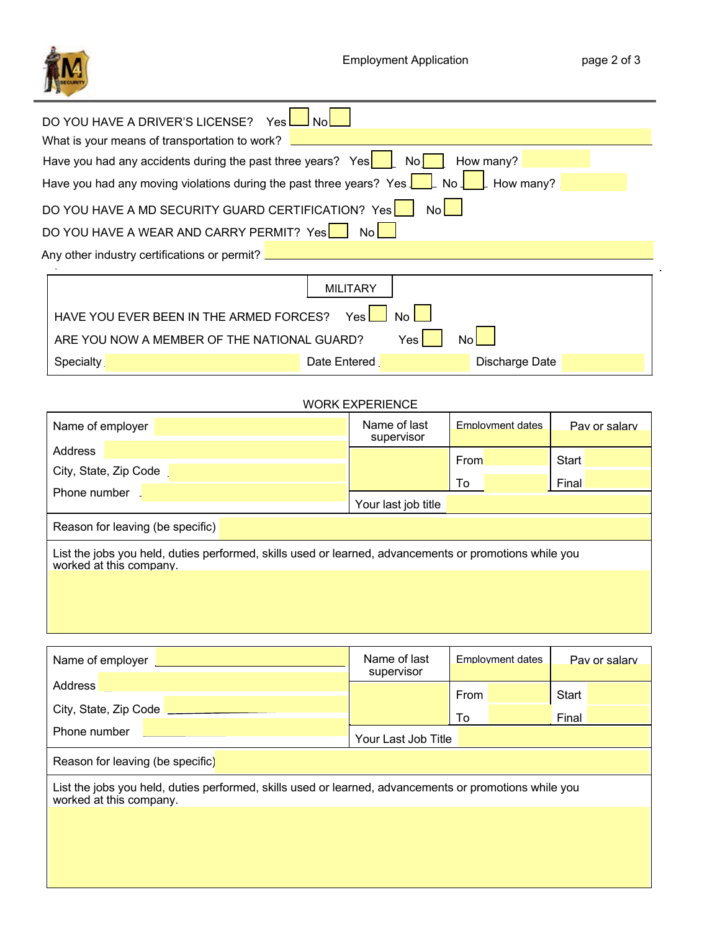

| DO YOU HAVE A DRIVER'S LICENSE?<br>Yes I                                                                                     |                 |                |  |  |  |  |
|------------------------------------------------------------------------------------------------------------------------------|-----------------|----------------|--|--|--|--|
| What is your means of transportation to work?                                                                                |                 |                |  |  |  |  |
| How many?<br>No <sub>l</sub>                                                                                                 |                 |                |  |  |  |  |
| Have you had any moving violations during the past three years? Yes $\boxed{\phantom{a}}$ No $\boxed{\phantom{a}}$ How many? |                 |                |  |  |  |  |
| DO YOU HAVE A MD SECURITY GUARD CERTIFICATION? Yes                                                                           | Nol -           |                |  |  |  |  |
| DO YOU HAVE A WEAR AND CARRY PERMIT? Yes                                                                                     | Nol -           |                |  |  |  |  |
| Any other industry certifications or permit? _                                                                               |                 |                |  |  |  |  |
|                                                                                                                              |                 |                |  |  |  |  |
|                                                                                                                              | <b>MILITARY</b> |                |  |  |  |  |
| HAVE YOU EVER BEEN IN THE ARMED FORCES?<br>Yesl                                                                              |                 |                |  |  |  |  |
| ARE YOU NOW A MEMBER OF THE NATIONAL GUARD?<br>Yes<br>No                                                                     |                 |                |  |  |  |  |
| Specialty                                                                                                                    | Date Entered    | Discharge Date |  |  |  |  |

## WORK EXPERIENCE

| Name of employer                                                                                                                  | Name of last<br>supervisor | <b>Employment dates</b> | Pay or salary |  |
|-----------------------------------------------------------------------------------------------------------------------------------|----------------------------|-------------------------|---------------|--|
| Address                                                                                                                           |                            | From                    | Start         |  |
| City, State, Zip Code                                                                                                             |                            | To                      | Final         |  |
| Phone number                                                                                                                      | Your last job title        |                         |               |  |
| Reason for leaving (be specific)                                                                                                  |                            |                         |               |  |
| List the jobs you held, duties performed, skills used or learned, advancements or promotions while you<br>worked at this company. |                            |                         |               |  |
|                                                                                                                                   |                            |                         |               |  |
|                                                                                                                                   |                            |                         |               |  |
|                                                                                                                                   |                            |                         |               |  |

| Name of employer                                                                                                                  |  | Name of last<br>supervisor | <b>Employment dates</b> |  | Pay or salary  |  |
|-----------------------------------------------------------------------------------------------------------------------------------|--|----------------------------|-------------------------|--|----------------|--|
| Address<br>City, State, Zip Code                                                                                                  |  |                            | From<br>To              |  | Start<br>Final |  |
| Phone number                                                                                                                      |  | Your Last Job Title        |                         |  |                |  |
| Reason for leaving (be specific)                                                                                                  |  |                            |                         |  |                |  |
| List the jobs you held, duties performed, skills used or learned, advancements or promotions while you<br>worked at this company. |  |                            |                         |  |                |  |
|                                                                                                                                   |  |                            |                         |  |                |  |
|                                                                                                                                   |  |                            |                         |  |                |  |